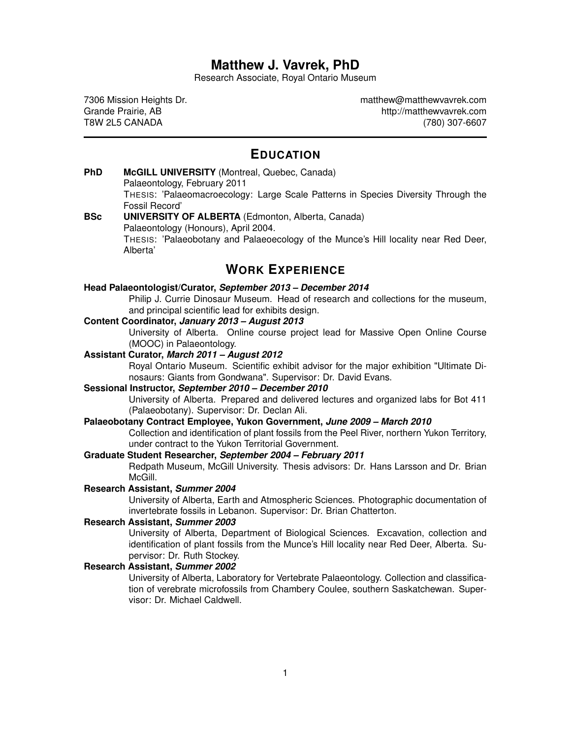# **Matthew J. Vavrek, PhD**

Research Associate, Royal Ontario Museum

7306 Mission Heights Dr. Grande Prairie, AB T8W 2L5 CANADA

[matthew@matthewvavrek.com](mailto:matthew@matthewvavrek.com) <http://matthewvavrek.com> (780) 307-6607

# **EDUCATION**

**PhD McGILL UNIVERSITY** (Montreal, Quebec, Canada) Palaeontology, February 2011 THESIS: 'Palaeomacroecology: Large Scale Patterns in Species Diversity Through the Fossil Record' **BSc UNIVERSITY OF ALBERTA** (Edmonton, Alberta, Canada) Palaeontology (Honours), April 2004.

THESIS: 'Palaeobotany and Palaeoecology of the Munce's Hill locality near Red Deer, Alberta'

# **WORK EXPERIENCE**

#### **Head Palaeontologist/Curator,** *September 2013 – December 2014*

Philip J. Currie Dinosaur Museum. Head of research and collections for the museum, and principal scientific lead for exhibits design.

# **Content Coordinator,** *January 2013 – August 2013*

University of Alberta. Online course project lead for Massive Open Online Course (MOOC) in Palaeontology.

#### **Assistant Curator,** *March 2011 – August 2012*

Royal Ontario Museum. Scientific exhibit advisor for the major exhibition "Ultimate Dinosaurs: Giants from Gondwana". Supervisor: Dr. David Evans.

#### **Sessional Instructor,** *September 2010 – December 2010*

University of Alberta. Prepared and delivered lectures and organized labs for Bot 411 (Palaeobotany). Supervisor: Dr. Declan Ali.

#### **Palaeobotany Contract Employee, Yukon Government,** *June 2009 – March 2010*

Collection and identification of plant fossils from the Peel River, northern Yukon Territory, under contract to the Yukon Territorial Government.

# **Graduate Student Researcher,** *September 2004 – February 2011*

Redpath Museum, McGill University. Thesis advisors: Dr. Hans Larsson and Dr. Brian McGill.

#### **Research Assistant,** *Summer 2004*

University of Alberta, Earth and Atmospheric Sciences. Photographic documentation of invertebrate fossils in Lebanon. Supervisor: Dr. Brian Chatterton.

# **Research Assistant,** *Summer 2003*

University of Alberta, Department of Biological Sciences. Excavation, collection and identification of plant fossils from the Munce's Hill locality near Red Deer, Alberta. Supervisor: Dr. Ruth Stockey.

# **Research Assistant,** *Summer 2002*

University of Alberta, Laboratory for Vertebrate Palaeontology. Collection and classification of verebrate microfossils from Chambery Coulee, southern Saskatchewan. Supervisor: Dr. Michael Caldwell.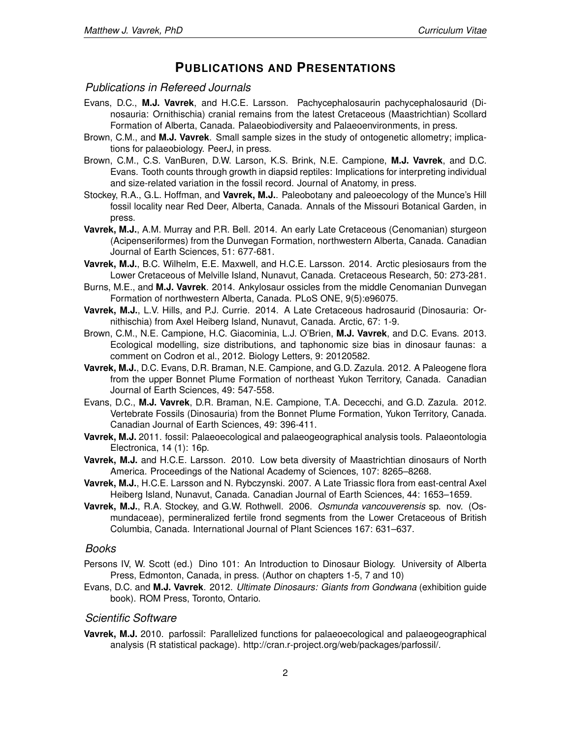# **PUBLICATIONS AND PRESENTATIONS**

# *Publications in Refereed Journals*

- Evans, D.C., **M.J. Vavrek**, and H.C.E. Larsson. Pachycephalosaurin pachycephalosaurid (Dinosauria: Ornithischia) cranial remains from the latest Cretaceous (Maastrichtian) Scollard Formation of Alberta, Canada. Palaeobiodiversity and Palaeoenvironments, in press.
- Brown, C.M., and **M.J. Vavrek**. Small sample sizes in the study of ontogenetic allometry; implications for palaeobiology. PeerJ, in press.
- Brown, C.M., C.S. VanBuren, D.W. Larson, K.S. Brink, N.E. Campione, **M.J. Vavrek**, and D.C. Evans. Tooth counts through growth in diapsid reptiles: Implications for interpreting individual and size-related variation in the fossil record. Journal of Anatomy, in press.
- Stockey, R.A., G.L. Hoffman, and **Vavrek, M.J.**. Paleobotany and paleoecology of the Munce's Hill fossil locality near Red Deer, Alberta, Canada. Annals of the Missouri Botanical Garden, in press.
- **Vavrek, M.J.**, A.M. Murray and P.R. Bell. 2014. An early Late Cretaceous (Cenomanian) sturgeon (Acipenseriformes) from the Dunvegan Formation, northwestern Alberta, Canada. Canadian Journal of Earth Sciences, 51: 677-681.
- **Vavrek, M.J.**, B.C. Wilhelm, E.E. Maxwell, and H.C.E. Larsson. 2014. Arctic plesiosaurs from the Lower Cretaceous of Melville Island, Nunavut, Canada. Cretaceous Research, 50: 273-281.
- Burns, M.E., and **M.J. Vavrek**. 2014. Ankylosaur ossicles from the middle Cenomanian Dunvegan Formation of northwestern Alberta, Canada. PLoS ONE, 9(5):e96075.
- **Vavrek, M.J.**, L.V. Hills, and P.J. Currie. 2014. A Late Cretaceous hadrosaurid (Dinosauria: Ornithischia) from Axel Heiberg Island, Nunavut, Canada. Arctic, 67: 1-9.
- Brown, C.M., N.E. Campione, H.C. Giacominia, L.J. O'Brien, **M.J. Vavrek**, and D.C. Evans. 2013. Ecological modelling, size distributions, and taphonomic size bias in dinosaur faunas: a comment on Codron et al., 2012. Biology Letters, 9: 20120582.
- **Vavrek, M.J.**, D.C. Evans, D.R. Braman, N.E. Campione, and G.D. Zazula. 2012. A Paleogene flora from the upper Bonnet Plume Formation of northeast Yukon Territory, Canada. Canadian Journal of Earth Sciences, 49: 547-558.
- Evans, D.C., **M.J. Vavrek**, D.R. Braman, N.E. Campione, T.A. Dececchi, and G.D. Zazula. 2012. Vertebrate Fossils (Dinosauria) from the Bonnet Plume Formation, Yukon Territory, Canada. Canadian Journal of Earth Sciences, 49: 396-411.
- **Vavrek, M.J.** 2011. fossil: Palaeoecological and palaeogeographical analysis tools. Palaeontologia Electronica, 14 (1): 16p.
- **Vavrek, M.J.** and H.C.E. Larsson. 2010. Low beta diversity of Maastrichtian dinosaurs of North America. Proceedings of the National Academy of Sciences, 107: 8265–8268.
- **Vavrek, M.J.**, H.C.E. Larsson and N. Rybczynski. 2007. A Late Triassic flora from east-central Axel Heiberg Island, Nunavut, Canada. Canadian Journal of Earth Sciences, 44: 1653–1659.
- **Vavrek, M.J.**, R.A. Stockey, and G.W. Rothwell. 2006. *Osmunda vancouverensis* sp. nov. (Osmundaceae), permineralized fertile frond segments from the Lower Cretaceous of British Columbia, Canada. International Journal of Plant Sciences 167: 631–637.

#### *Books*

- Persons IV, W. Scott (ed.) Dino 101: An Introduction to Dinosaur Biology. University of Alberta Press, Edmonton, Canada, in press. (Author on chapters 1-5, 7 and 10)
- Evans, D.C. and **M.J. Vavrek**. 2012. *Ultimate Dinosaurs: Giants from Gondwana* (exhibition guide book). ROM Press, Toronto, Ontario.

# *Scientific Software*

Vavrek, M.J. 2010. [parfossil:](http://cran.r-project.org/web/packages/parfossil/index.html) Parallelized functions for palaeoecological and palaeogeographical analysis (R statistical package). [http://cran.r-project.org/web/packages/parfossil/.](http://cran.r-project.org/web/packages/parfossil/)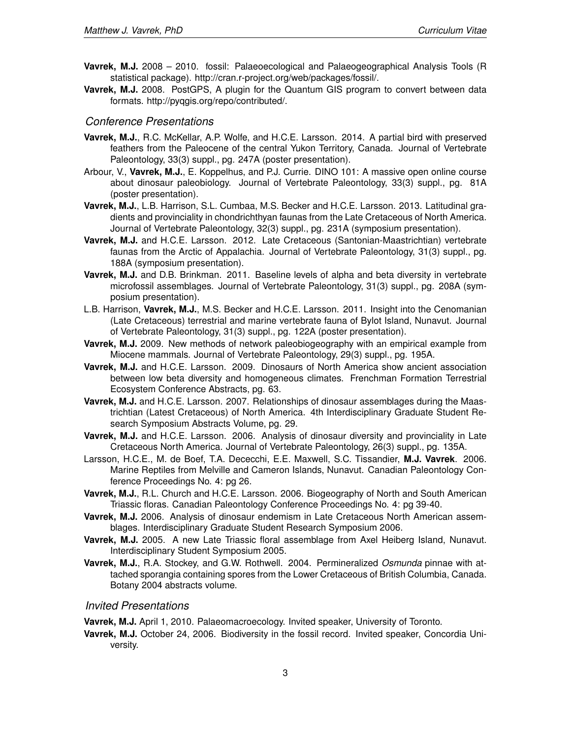- **Vavrek, M.J.** 2008 2010. [fossil:](http://cran.r-project.org/web/packages/fossil/index.html) Palaeoecological and Palaeogeographical Analysis Tools (R statistical package). [http://cran.r-project.org/web/packages/fossil/.](http://cran.r-project.org/web/packages/fossil/)
- **Vavrek, M.J.** 2008. [PostGPS,](http://spatialserver.net:3001/) A plugin for the Quantum GIS program to convert between data formats. [http://pyqgis.org/repo/contributed/.](http://pyqgis.org/repo/contributed/)

# *Conference Presentations*

- **Vavrek, M.J.**, R.C. McKellar, A.P. Wolfe, and H.C.E. Larsson. 2014. A partial bird with preserved feathers from the Paleocene of the central Yukon Territory, Canada. Journal of Vertebrate Paleontology, 33(3) suppl., pg. 247A (poster presentation).
- Arbour, V., **Vavrek, M.J.**, E. Koppelhus, and P.J. Currie. DINO 101: A massive open online course about dinosaur paleobiology. Journal of Vertebrate Paleontology, 33(3) suppl., pg. 81A (poster presentation).
- **Vavrek, M.J.**, L.B. Harrison, S.L. Cumbaa, M.S. Becker and H.C.E. Larsson. 2013. Latitudinal gradients and provinciality in chondrichthyan faunas from the Late Cretaceous of North America. Journal of Vertebrate Paleontology, 32(3) suppl., pg. 231A (symposium presentation).
- **Vavrek, M.J.** and H.C.E. Larsson. 2012. Late Cretaceous (Santonian-Maastrichtian) vertebrate faunas from the Arctic of Appalachia. Journal of Vertebrate Paleontology, 31(3) suppl., pg. 188A (symposium presentation).
- **Vavrek, M.J.** and D.B. Brinkman. 2011. Baseline levels of alpha and beta diversity in vertebrate microfossil assemblages. Journal of Vertebrate Paleontology, 31(3) suppl., pg. 208A (symposium presentation).
- L.B. Harrison, **Vavrek, M.J.**, M.S. Becker and H.C.E. Larsson. 2011. Insight into the Cenomanian (Late Cretaceous) terrestrial and marine vertebrate fauna of Bylot Island, Nunavut. Journal of Vertebrate Paleontology, 31(3) suppl., pg. 122A (poster presentation).
- **Vavrek, M.J.** 2009. New methods of network paleobiogeography with an empirical example from Miocene mammals. Journal of Vertebrate Paleontology, 29(3) suppl., pg. 195A.
- **Vavrek, M.J.** and H.C.E. Larsson. 2009. Dinosaurs of North America show ancient association between low beta diversity and homogeneous climates. Frenchman Formation Terrestrial Ecosystem Conference Abstracts, pg. 63.
- **Vavrek, M.J.** and H.C.E. Larsson. 2007. Relationships of dinosaur assemblages during the Maastrichtian (Latest Cretaceous) of North America. 4th Interdisciplinary Graduate Student Research Symposium Abstracts Volume, pg. 29.
- **Vavrek, M.J.** and H.C.E. Larsson. 2006. Analysis of dinosaur diversity and provinciality in Late Cretaceous North America. Journal of Vertebrate Paleontology, 26(3) suppl., pg. 135A.
- Larsson, H.C.E., M. de Boef, T.A. Dececchi, E.E. Maxwell, S.C. Tissandier, **M.J. Vavrek**. 2006. Marine Reptiles from Melville and Cameron Islands, Nunavut. Canadian Paleontology Conference Proceedings No. 4: pg 26.
- **Vavrek, M.J.**, R.L. Church and H.C.E. Larsson. 2006. Biogeography of North and South American Triassic floras. Canadian Paleontology Conference Proceedings No. 4: pg 39-40.
- **Vavrek, M.J.** 2006. Analysis of dinosaur endemism in Late Cretaceous North American assemblages. Interdisciplinary Graduate Student Research Symposium 2006.
- **Vavrek, M.J.** 2005. A new Late Triassic floral assemblage from Axel Heiberg Island, Nunavut. Interdisciplinary Student Symposium 2005.
- **Vavrek, M.J.**, R.A. Stockey, and G.W. Rothwell. 2004. Permineralized *Osmunda* pinnae with attached sporangia containing spores from the Lower Cretaceous of British Columbia, Canada. Botany 2004 abstracts volume.

# *Invited Presentations*

**Vavrek, M.J.** April 1, 2010. Palaeomacroecology. Invited speaker, University of Toronto.

**Vavrek, M.J.** October 24, 2006. Biodiversity in the fossil record. Invited speaker, Concordia University.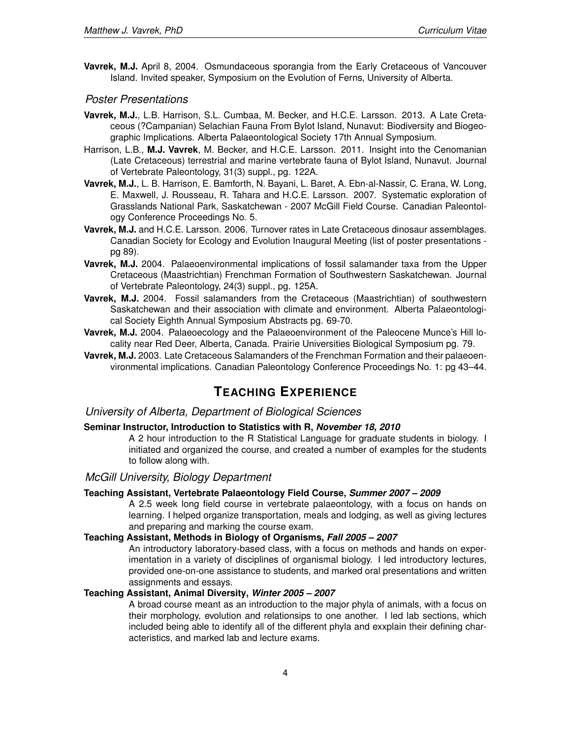**Vavrek, M.J.** April 8, 2004. Osmundaceous sporangia from the Early Cretaceous of Vancouver Island. Invited speaker, Symposium on the Evolution of Ferns, University of Alberta.

# *Poster Presentations*

- **Vavrek, M.J.**, L.B. Harrison, S.L. Cumbaa, M. Becker, and H.C.E. Larsson. 2013. A Late Cretaceous (?Campanian) Selachian Fauna From Bylot Island, Nunavut: Biodiversity and Biogeographic Implications. Alberta Palaeontological Society 17th Annual Symposium.
- Harrison, L.B., **M.J. Vavrek**, M. Becker, and H.C.E. Larsson. 2011. Insight into the Cenomanian (Late Cretaceous) terrestrial and marine vertebrate fauna of Bylot Island, Nunavut. Journal of Vertebrate Paleontology, 31(3) suppl., pg. 122A.
- **Vavrek, M.J.**, L. B. Harrison, E. Bamforth, N. Bayani, L. Baret, A. Ebn-al-Nassir, C. Erana, W. Long, E. Maxwell, J. Rousseau, R. Tahara and H.C.E. Larsson. 2007. Systematic exploration of Grasslands National Park, Saskatchewan - 2007 McGill Field Course. Canadian Paleontology Conference Proceedings No. 5.
- **Vavrek, M.J.** and H.C.E. Larsson. 2006. Turnover rates in Late Cretaceous dinosaur assemblages. Canadian Society for Ecology and Evolution Inaugural Meeting (list of poster presentations pg 89).
- **Vavrek, M.J.** 2004. Palaeoenvironmental implications of fossil salamander taxa from the Upper Cretaceous (Maastrichtian) Frenchman Formation of Southwestern Saskatchewan. Journal of Vertebrate Paleontology, 24(3) suppl., pg. 125A.
- **Vavrek, M.J.** 2004. Fossil salamanders from the Cretaceous (Maastrichtian) of southwestern Saskatchewan and their association with climate and environment. Alberta Palaeontological Society Eighth Annual Symposium Abstracts pg. 69-70.
- **Vavrek, M.J.** 2004. Palaeoecology and the Palaeoenvironment of the Paleocene Munce's Hill locality near Red Deer, Alberta, Canada. Prairie Universities Biological Symposium pg. 79.
- **Vavrek, M.J.** 2003. Late Cretaceous Salamanders of the Frenchman Formation and their palaeoenvironmental implications. Canadian Paleontology Conference Proceedings No. 1: pg 43–44.

# **TEACHING EXPERIENCE**

# *University of Alberta, Department of Biological Sciences*

### **Seminar Instructor, Introduction to Statistics with R,** *November 18, 2010*

A 2 hour introduction to the R Statistical Language for graduate students in biology. I initiated and organized the course, and created a number of examples for the students to follow along with.

# *McGill University, Biology Department*

# **Teaching Assistant, [Vertebrate Palaeontology Field Course,](http://biology.mcgill.ca/undergrad/courses/c573c.html)** *Summer 2007 – 2009*

A 2.5 week long field course in vertebrate palaeontology, with a focus on hands on learning. I helped organize transportation, meals and lodging, as well as giving lectures and preparing and marking the course exam.

# **Teaching Assistant, [Methods in Biology of Organisms,](http://biology.mcgill.ca/undergrad/courses/c206a.html)** *Fall 2005 – 2007*

An introductory laboratory-based class, with a focus on methods and hands on experimentation in a variety of disciplines of organismal biology. I led introductory lectures, provided one-on-one assistance to students, and marked oral presentations and written assignments and essays.

#### **Teaching Assistant, [Animal Diversity,](http://biology.mcgill.ca/undergrad/courses/c305b.html)** *Winter 2005 – 2007*

A broad course meant as an introduction to the major phyla of animals, with a focus on their morphology, evolution and relationsips to one another. I led lab sections, which included being able to identify all of the different phyla and exxplain their defining characteristics, and marked lab and lecture exams.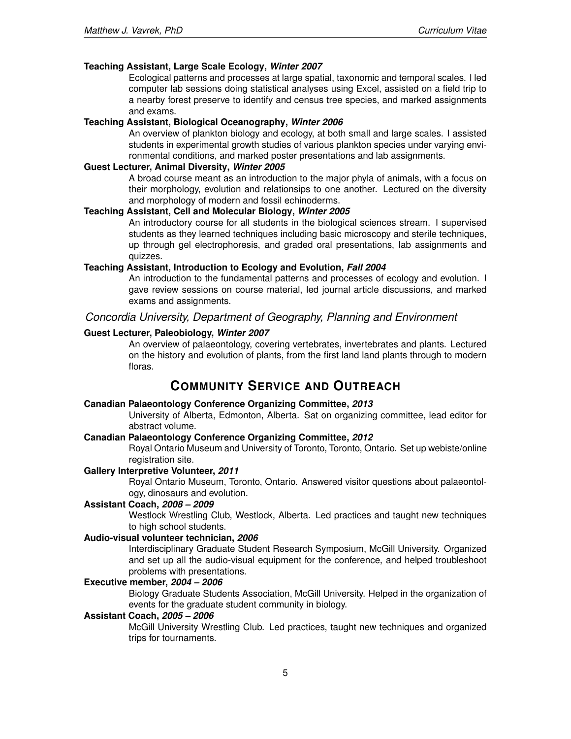# **Teaching Assistant, [Large Scale Ecology,](310.brianmcgill.org)** *Winter 2007*

Ecological patterns and processes at large spatial, taxonomic and temporal scales. I led computer lab sessions doing statistical analyses using Excel, assisted on a field trip to a nearby forest preserve to identify and census tree species, and marked assignments and exams.

### **Teaching Assistant, [Biological Oceanography,](http://biology.mcgill.ca/undergrad/courses/c441b.html)** *Winter 2006*

An overview of plankton biology and ecology, at both small and large scales. I assisted students in experimental growth studies of various plankton species under varying environmental conditions, and marked poster presentations and lab assignments.

#### **Guest Lecturer, [Animal Diversity,](http://biology.mcgill.ca/undergrad/courses/c305b.html)** *Winter 2005*

A broad course meant as an introduction to the major phyla of animals, with a focus on their morphology, evolution and relationsips to one another. Lectured on the diversity and morphology of modern and fossil echinoderms.

### **Teaching Assistant, [Cell and Molecular Biology,](http://biology.mcgill.ca/undergrad/courses/c112b.html)** *Winter 2005*

An introductory course for all students in the biological sciences stream. I supervised students as they learned techniques including basic microscopy and sterile techniques, up through gel electrophoresis, and graded oral presentations, lab assignments and quizzes.

# **Teaching Assistant, [Introduction to Ecology and Evolution,](http://biology.mcgill.ca/undergrad/courses/c215a.html)** *Fall 2004*

An introduction to the fundamental patterns and processes of ecology and evolution. I gave review sessions on course material, led journal article discussions, and marked exams and assignments.

# *Concordia University, Department of Geography, Planning and Environment*

### **Guest Lecturer, Paleobiology,** *Winter 2007*

An overview of palaeontology, covering vertebrates, invertebrates and plants. Lectured on the history and evolution of plants, from the first land land plants through to modern floras.

# **COMMUNITY SERVICE AND OUTREACH**

### **Canadian Palaeontology Conference Organizing Committee,** *2013*

University of Alberta, Edmonton, Alberta. Sat on organizing committee, lead editor for abstract volume.

### **Canadian Palaeontology Conference Organizing Committee,** *2012*

Royal Ontario Museum and University of Toronto, Toronto, Ontario. Set up webiste/online registration site.

#### **Gallery Interpretive Volunteer,** *2011*

Royal Ontario Museum, Toronto, Ontario. Answered visitor questions about palaeontology, dinosaurs and evolution.

# **Assistant Coach,** *2008 – 2009*

Westlock Wrestling Club, Westlock, Alberta. Led practices and taught new techniques to high school students.

# **Audio-visual volunteer technician,** *2006*

Interdisciplinary Graduate Student Research Symposium, McGill University. Organized and set up all the audio-visual equipment for the conference, and helped troubleshoot problems with presentations.

# **Executive member,** *2004 – 2006*

Biology Graduate Students Association, McGill University. Helped in the organization of events for the graduate student community in biology.

#### **Assistant Coach,** *2005 – 2006*

McGill University Wrestling Club. Led practices, taught new techniques and organized trips for tournaments.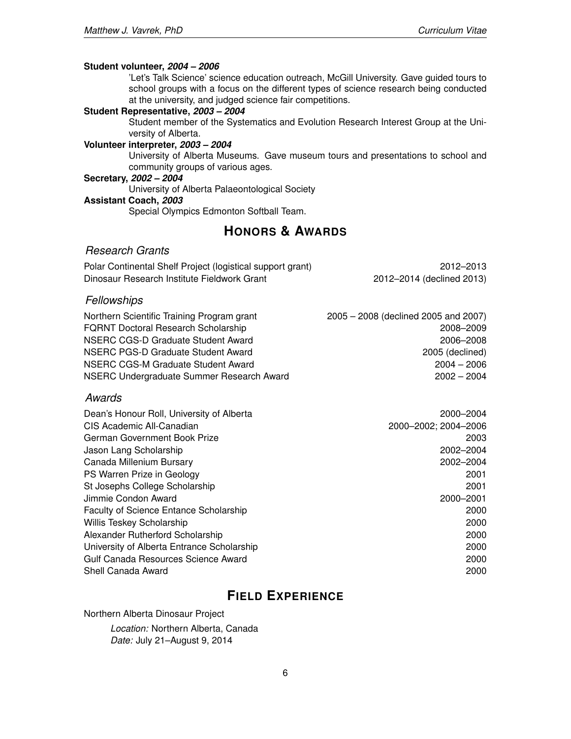#### **Student volunteer,** *2004 – 2006*

'Let's Talk Science' science education outreach, McGill University. Gave guided tours to school groups with a focus on the different types of science research being conducted at the university, and judged science fair competitions.

#### **Student Representative,** *2003 – 2004*

Student member of the Systematics and Evolution Research Interest Group at the University of Alberta.

# **Volunteer interpreter,** *2003 – 2004*

University of Alberta Museums. Gave museum tours and presentations to school and community groups of various ages.

#### **Secretary,** *2002 – 2004*

University of Alberta Palaeontological Society

# **Assistant Coach,** *2003*

Special Olympics Edmonton Softball Team.

# **HONORS & AWARDS**

# *Research Grants*

| Polar Continental Shelf Project (logistical support grant) | 2012-2013                 |
|------------------------------------------------------------|---------------------------|
| Dinosaur Research Institute Fieldwork Grant                | 2012-2014 (declined 2013) |

# *Fellowships*

| Northern Scientific Training Program grant | 2005 - 2008 (declined 2005 and 2007) |
|--------------------------------------------|--------------------------------------|
| <b>FQRNT Doctoral Research Scholarship</b> | 2008-2009                            |
| NSERC CGS-D Graduate Student Award         | 2006–2008                            |
| NSERC PGS-D Graduate Student Award         | 2005 (declined)                      |
| NSERC CGS-M Graduate Student Award         | $2004 - 2006$                        |
| NSERC Undergraduate Summer Research Award  | $2002 - 2004$                        |

## *Awards*

| 2000-2004            |
|----------------------|
| 2000-2002; 2004-2006 |
| 2003                 |
| 2002-2004            |
| 2002-2004            |
| 2001                 |
| 2001                 |
| 2000-2001            |
| 2000                 |
| 2000                 |
| 2000                 |
| 2000                 |
| 2000                 |
| 2000                 |
|                      |

# **FIELD EXPERIENCE**

Northern Alberta Dinosaur Project

*Location:* Northern Alberta, Canada *Date:* July 21–August 9, 2014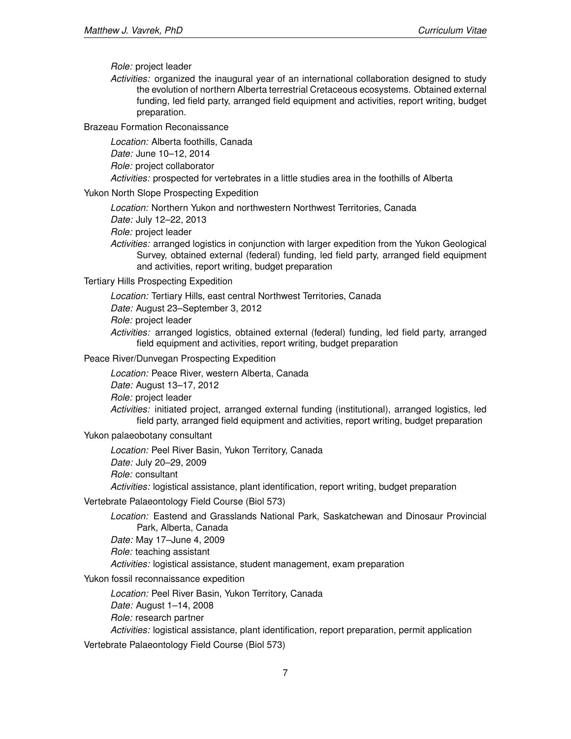*Role:* project leader

*Activities:* organized the inaugural year of an international collaboration designed to study the evolution of northern Alberta terrestrial Cretaceous ecosystems. Obtained external funding, led field party, arranged field equipment and activities, report writing, budget preparation.

Brazeau Formation Reconaissance

*Location:* Alberta foothills, Canada

*Date:* June 10–12, 2014

*Role:* project collaborator

*Activities:* prospected for vertebrates in a little studies area in the foothills of Alberta

#### Yukon North Slope Prospecting Expedition

*Location:* Northern Yukon and northwestern Northwest Territories, Canada

*Date:* July 12–22, 2013

*Role:* project leader

*Activities:* arranged logistics in conjunction with larger expedition from the Yukon Geological Survey, obtained external (federal) funding, led field party, arranged field equipment and activities, report writing, budget preparation

### Tertiary Hills Prospecting Expedition

*Location:* Tertiary Hills, east central Northwest Territories, Canada *Date:* August 23–September 3, 2012 *Role:* project leader *Activities:* arranged logistics, obtained external (federal) funding, led field party, arranged

field equipment and activities, report writing, budget preparation

# Peace River/Dunvegan Prospecting Expedition

*Location:* Peace River, western Alberta, Canada

*Date:* August 13–17, 2012

*Role:* project leader

*Activities:* initiated project, arranged external funding (institutional), arranged logistics, led field party, arranged field equipment and activities, report writing, budget preparation

Yukon palaeobotany consultant

*Location:* Peel River Basin, Yukon Territory, Canada *Date:* July 20–29, 2009 *Role:* consultant *Activities:* logistical assistance, plant identification, report writing, budget preparation

Vertebrate Palaeontology Field Course (Biol 573)

*Location:* Eastend and Grasslands National Park, Saskatchewan and Dinosaur Provincial Park, Alberta, Canada *Date:* May 17–June 4, 2009

*Role:* teaching assistant

*Activities:* logistical assistance, student management, exam preparation

Yukon fossil reconnaissance expedition

*Location:* Peel River Basin, Yukon Territory, Canada *Date:* August 1–14, 2008 *Role:* research partner *Activities:* logistical assistance, plant identification, report preparation, permit application

Vertebrate Palaeontology Field Course (Biol 573)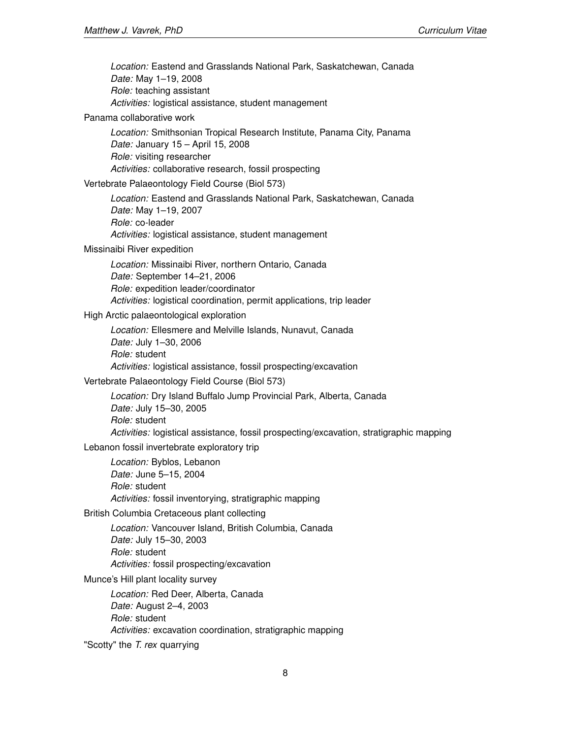*Location:* Eastend and Grasslands National Park, Saskatchewan, Canada *Date:* May 1–19, 2008 *Role:* teaching assistant *Activities:* logistical assistance, student management

### Panama collaborative work

*Location:* Smithsonian Tropical Research Institute, Panama City, Panama *Date:* January 15 – April 15, 2008 *Role:* visiting researcher *Activities:* collaborative research, fossil prospecting

# Vertebrate Palaeontology Field Course (Biol 573)

*Location:* Eastend and Grasslands National Park, Saskatchewan, Canada *Date:* May 1–19, 2007 *Role:* co-leader *Activities:* logistical assistance, student management

### Missinaibi River expedition

*Location:* Missinaibi River, northern Ontario, Canada *Date:* September 14–21, 2006 *Role:* expedition leader/coordinator *Activities:* logistical coordination, permit applications, trip leader

## High Arctic palaeontological exploration

*Location:* Ellesmere and Melville Islands, Nunavut, Canada *Date:* July 1–30, 2006 *Role:* student *Activities:* logistical assistance, fossil prospecting/excavation

#### Vertebrate Palaeontology Field Course (Biol 573)

*Location:* Dry Island Buffalo Jump Provincial Park, Alberta, Canada *Date:* July 15–30, 2005 *Role:* student *Activities:* logistical assistance, fossil prospecting/excavation, stratigraphic mapping

# Lebanon fossil invertebrate exploratory trip

*Location:* Byblos, Lebanon *Date:* June 5–15, 2004 *Role:* student *Activities:* fossil inventorying, stratigraphic mapping

# British Columbia Cretaceous plant collecting

*Location:* Vancouver Island, British Columbia, Canada *Date:* July 15–30, 2003 *Role:* student *Activities:* fossil prospecting/excavation

## Munce's Hill plant locality survey

*Location:* Red Deer, Alberta, Canada *Date:* August 2–4, 2003 *Role:* student *Activities:* excavation coordination, stratigraphic mapping

"Scotty" the *T. rex* quarrying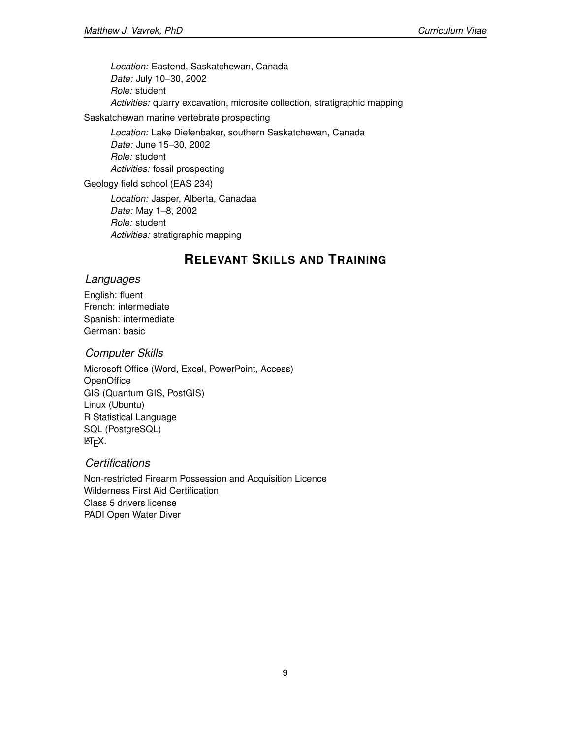*Location:* Eastend, Saskatchewan, Canada *Date:* July 10–30, 2002 *Role:* student *Activities:* quarry excavation, microsite collection, stratigraphic mapping

Saskatchewan marine vertebrate prospecting

*Location:* Lake Diefenbaker, southern Saskatchewan, Canada *Date:* June 15–30, 2002 *Role:* student *Activities:* fossil prospecting

Geology field school (EAS 234)

*Location:* Jasper, Alberta, Canadaa *Date:* May 1–8, 2002 *Role:* student *Activities:* stratigraphic mapping

# **RELEVANT SKILLS AND TRAINING**

# *Languages*

English: fluent French: intermediate Spanish: intermediate German: basic

# *Computer Skills*

Microsoft Office (Word, Excel, PowerPoint, Access) **OpenOffice** GIS (Quantum GIS, PostGIS) Linux (Ubuntu) R Statistical Language SQL (PostgreSQL)  $MT$ <sub>E</sub>X.

# *Certifications*

Non-restricted Firearm Possession and Acquisition Licence Wilderness First Aid Certification Class 5 drivers license PADI Open Water Diver